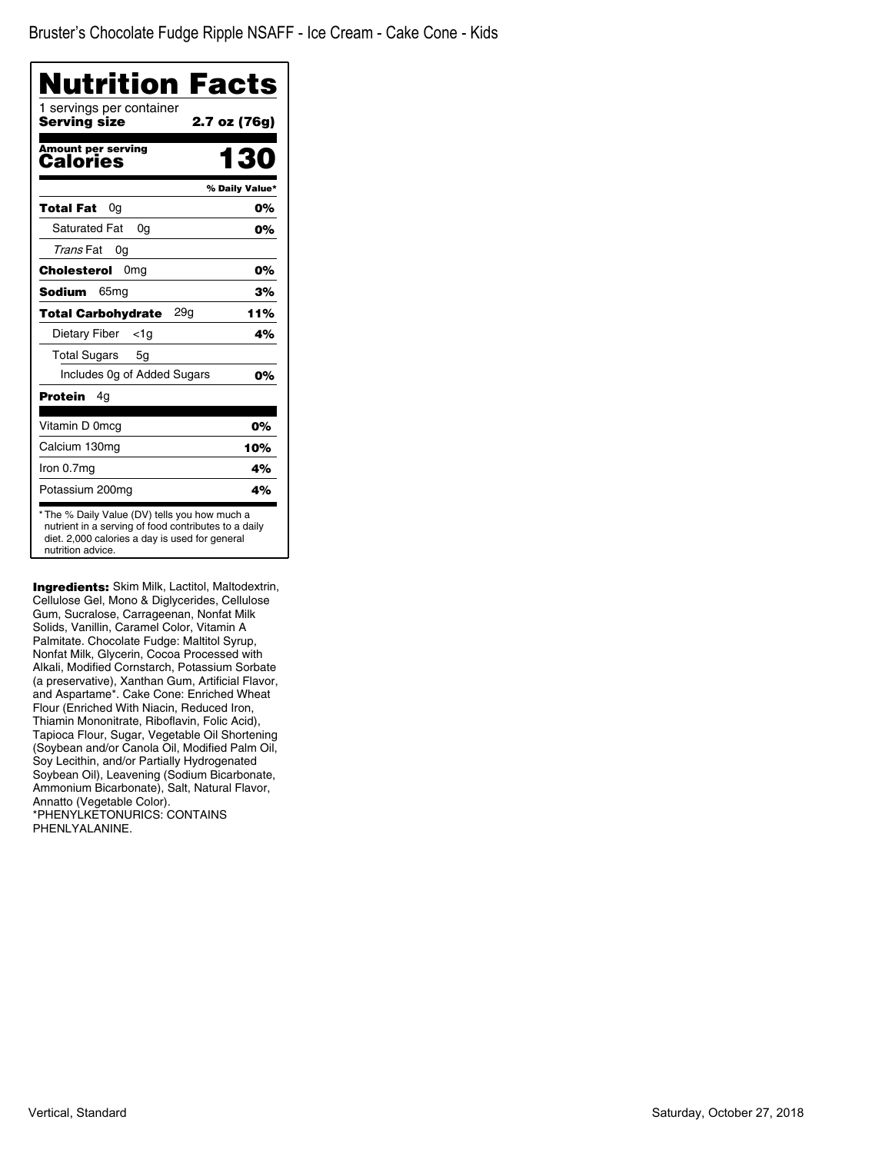| <b>Nutrition Facts</b>                   |                |
|------------------------------------------|----------------|
| 1 servings per container<br>Serving size | 2.7 oz (76g)   |
| Amount per serving<br>Calories           | 130            |
|                                          | % Daily Value* |
| Total Fat<br>0a                          | 0%             |
| <b>Saturated Fat</b><br>0 <sub>q</sub>   | 0%             |
| Trans Fat<br>0a                          |                |
| Cholesterol<br>0 <sub>mg</sub>           | 0%             |
| Sodium<br>65 <sub>mg</sub>               | 3%             |
| 29q<br><b>Total Carbohydrate</b>         | 11%            |
| <b>Dietary Fiber</b><br>$<$ 1g           | 4%             |
| <b>Total Sugars</b><br>5g                |                |
| Includes 0g of Added Sugars              | 0%             |
| <b>Protein</b><br>4q                     |                |
| Vitamin D 0mcg                           | 0%             |
| Calcium 130mg                            | 10%            |
| Iron 0.7mg                               | 4%             |
| Potassium 200mg                          | 4%             |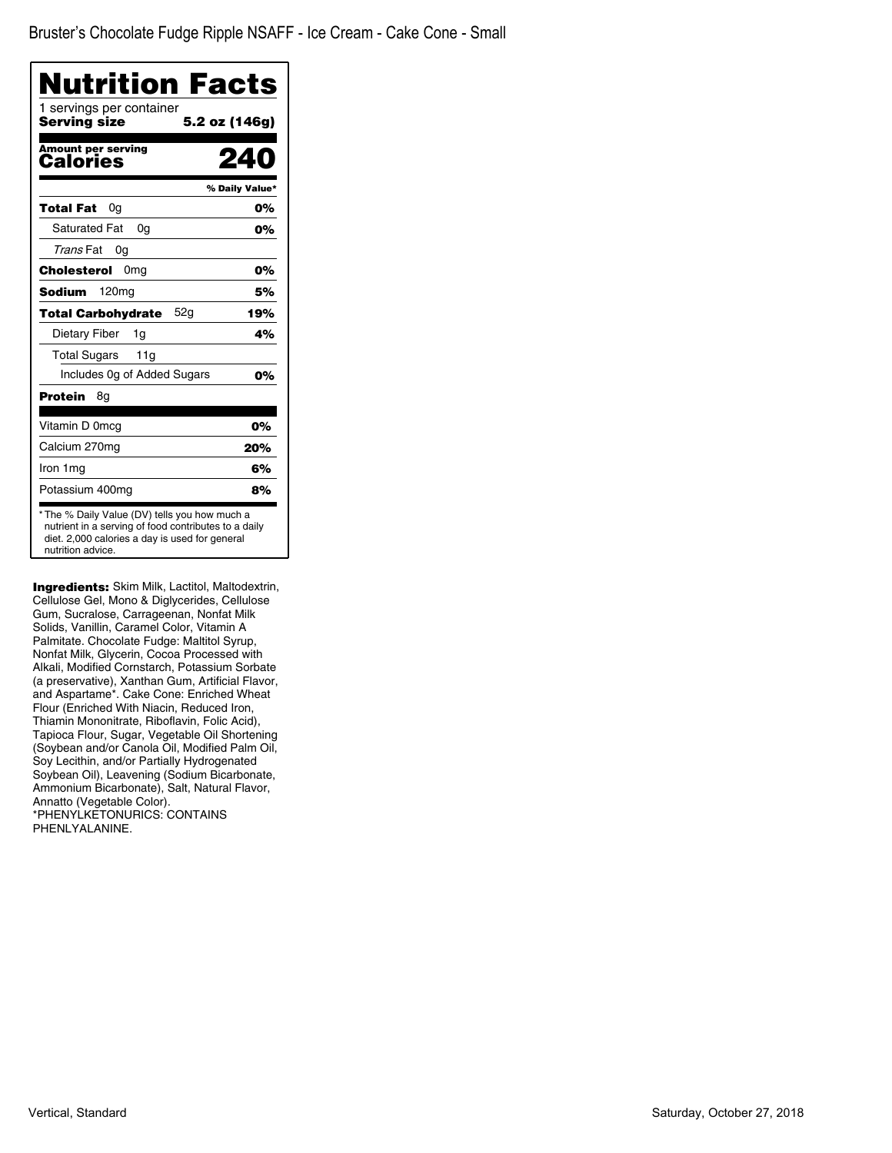| Nutrition Facts<br>1 servings per container |                |
|---------------------------------------------|----------------|
| Serving size                                | 5.2 oz (146g)  |
| <b>Amount per serving</b><br>Calories       |                |
|                                             | % Daily Value* |
| <b>Total Fat</b><br>0g                      | 0%             |
| <b>Saturated Fat</b><br>0q                  | 0%             |
| Trans Fat<br>0g                             |                |
| 0 <sub>mq</sub><br>Cholesterol              | 0%             |
| <b>Sodium</b><br>120 <sub>mg</sub>          | 5%             |
| 52g<br><b>Total Carbohydrate</b>            | 19%            |
| Dietary Fiber<br>1g                         | 4%             |
| <b>Total Sugars</b><br>11g                  |                |
| Includes Og of Added Sugars                 | 0%             |
| Protein<br>8g                               |                |
| Vitamin D 0mcg                              | 0%             |
| Calcium 270mg                               | 20%            |
| Iron 1 mg                                   | 6%             |
| Potassium 400mg                             | 8%             |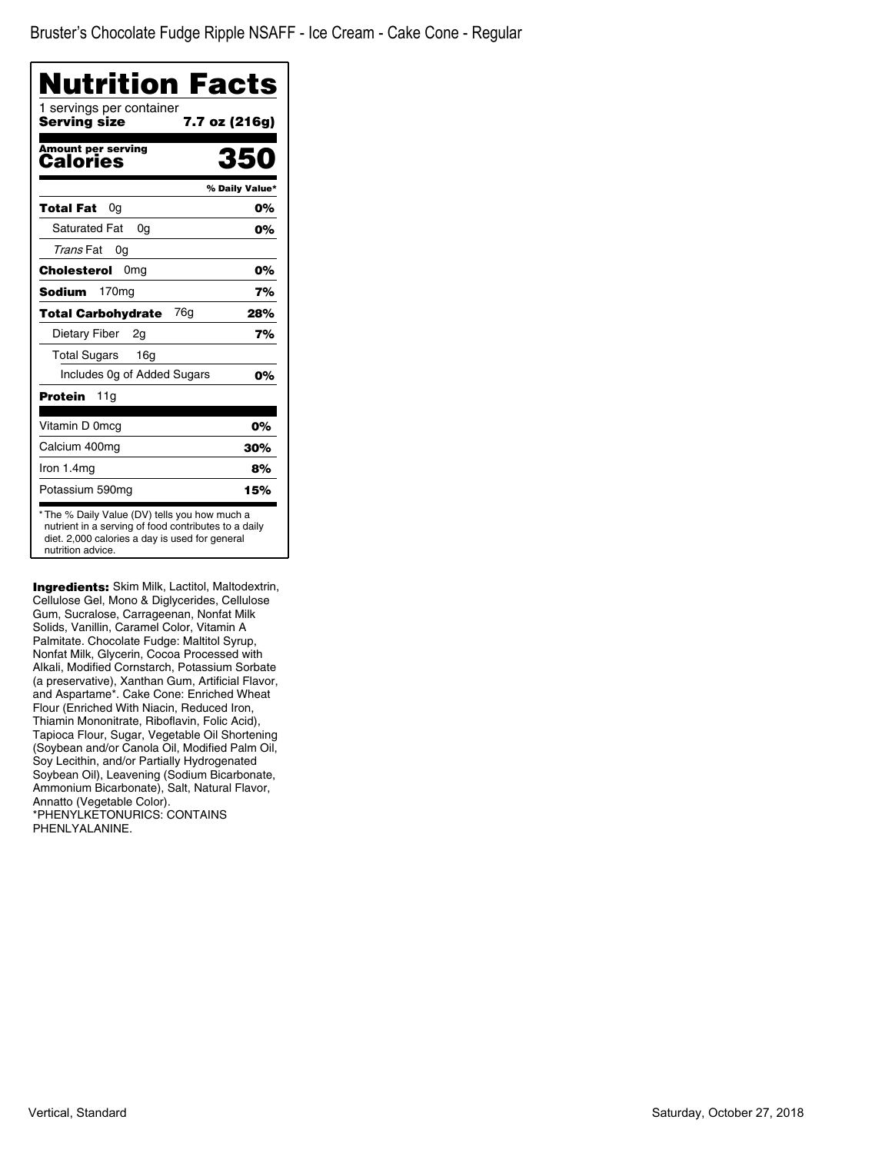Bruster's Chocolate Fudge Ripple NSAFF - Ice Cream - Cake Cone - Regular

| Nutrition Facts<br>1 servings per container |                |
|---------------------------------------------|----------------|
| Serving size                                | 7.7 oz (216g)  |
| Amount per serving<br>Calories              | 350            |
|                                             | % Daily Value* |
| Total Fat<br>0g                             | 0%             |
| <b>Saturated Fat</b><br>0g                  | 0%             |
| Trans Fat<br>0g                             |                |
| Cholesterol<br>0 <sub>mg</sub>              | 0%             |
| 170 <sub>mg</sub><br>Sodium                 | 7%             |
| 76g<br>Total Carbohydrate                   | 28%            |
| Dietary Fiber<br>2g                         | 7%             |
| <b>Total Sugars</b><br>16 <sub>q</sub>      |                |
| Includes Og of Added Sugars                 | 0%             |
| Protein<br>11g                              |                |
| Vitamin D 0mcg                              | 0%             |
| Calcium 400mg                               | 30%            |
| Iron 1.4mg                                  | 8%             |
| Potassium 590mg                             | 15%            |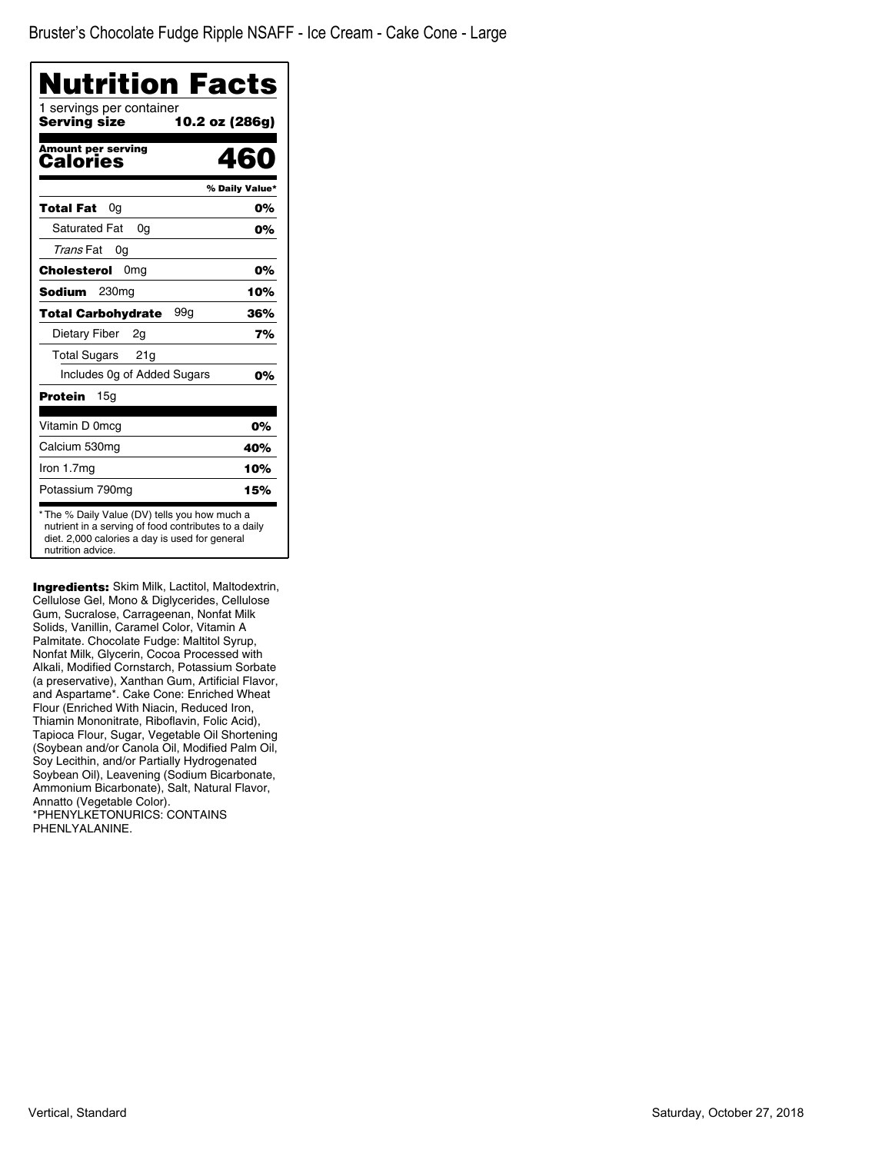| <b>Nutrition Facts</b>                   |                |
|------------------------------------------|----------------|
| 1 servings per container<br>Serving size | 10.2 oz (286g) |
| <b>Amount per serving</b><br>Calories    | 460            |
|                                          | % Daily Value* |
| <b>Total Fat</b><br>0g                   | 0%             |
| <b>Saturated Fat</b><br>0a               | 0%             |
| Trans Fat<br>0g                          |                |
| Cholesterol<br>0 <sub>mg</sub>           | 0%             |
| Sodium<br>230mg                          | 10%            |
| 99a<br>Total Carbohydrate                | 36%            |
| Dietary Fiber<br>2g                      | 7%             |
| <b>Total Sugars</b><br>21g               |                |
| Includes Og of Added Sugars              | 0%             |
| Protein<br>15a                           |                |
| Vitamin D 0mcg                           | 0%             |
| Calcium 530mg                            | 40%            |
| Iron 1.7mg                               | 10%            |
| Potassium 790mg                          | 15%            |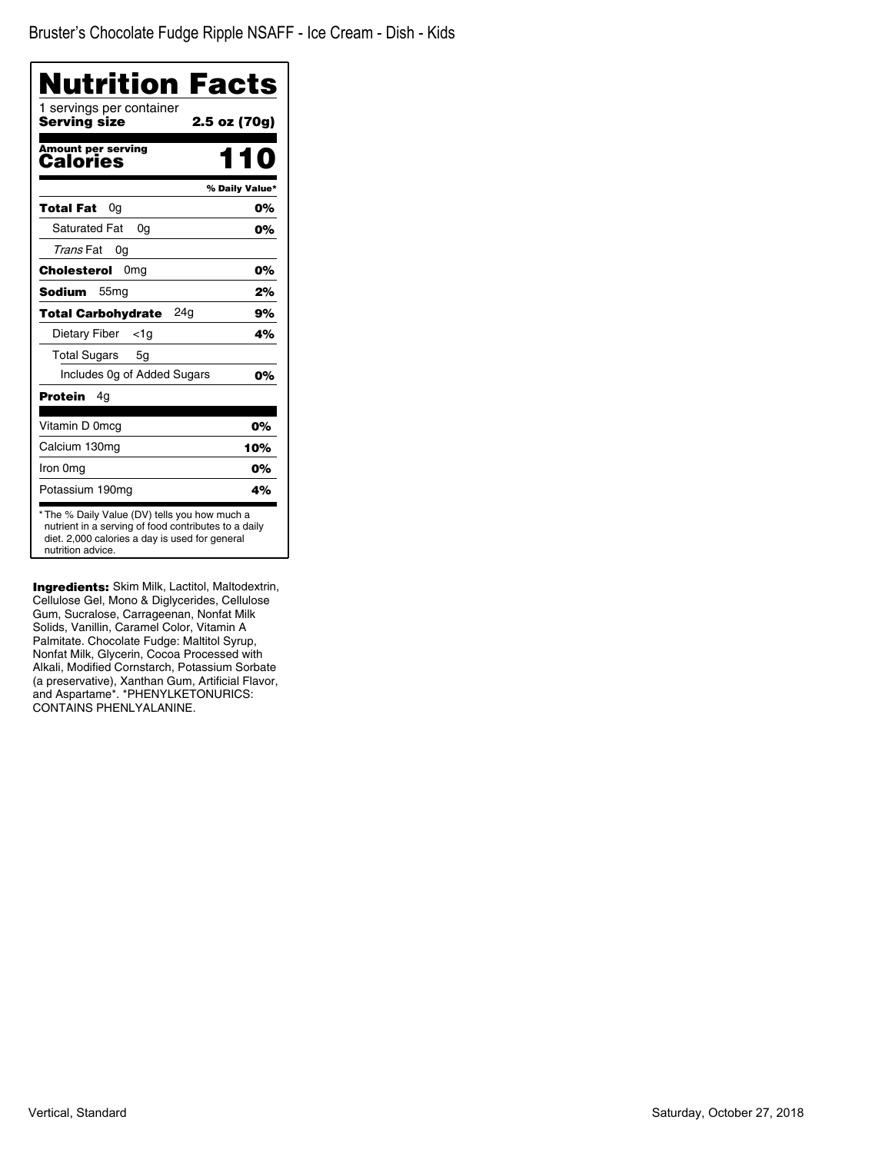| Nutrition Facts<br>1 servings per container |                |
|---------------------------------------------|----------------|
| Serving size                                | 2.5 oz (70g)   |
| <b>Amount per serving</b><br>Calories       | 11 N           |
|                                             | % Daily Value* |
| <b>Total Fat</b><br>0g                      | 0%             |
| <b>Saturated Fat</b><br>0q                  | 0%             |
| Trans Fat<br>0g                             |                |
| Cholesterol<br>0 <sub>mg</sub>              | 0%             |
| <b>Sodium</b><br>55 <sub>mg</sub>           | 2%             |
| <b>Total Carbohydrate</b><br>24a            | 9%             |
| Dietary Fiber<br>$<$ 1g                     | 4%             |
| <b>Total Sugars</b><br>5g                   |                |
| Includes Og of Added Sugars                 | 0%             |
| Protein<br>4g                               |                |
| Vitamin D 0mcq                              | 0%             |
| Calcium 130mg                               | 10%            |
| Iron 0mg                                    | 0%             |
| Potassium 190mg                             | 4%             |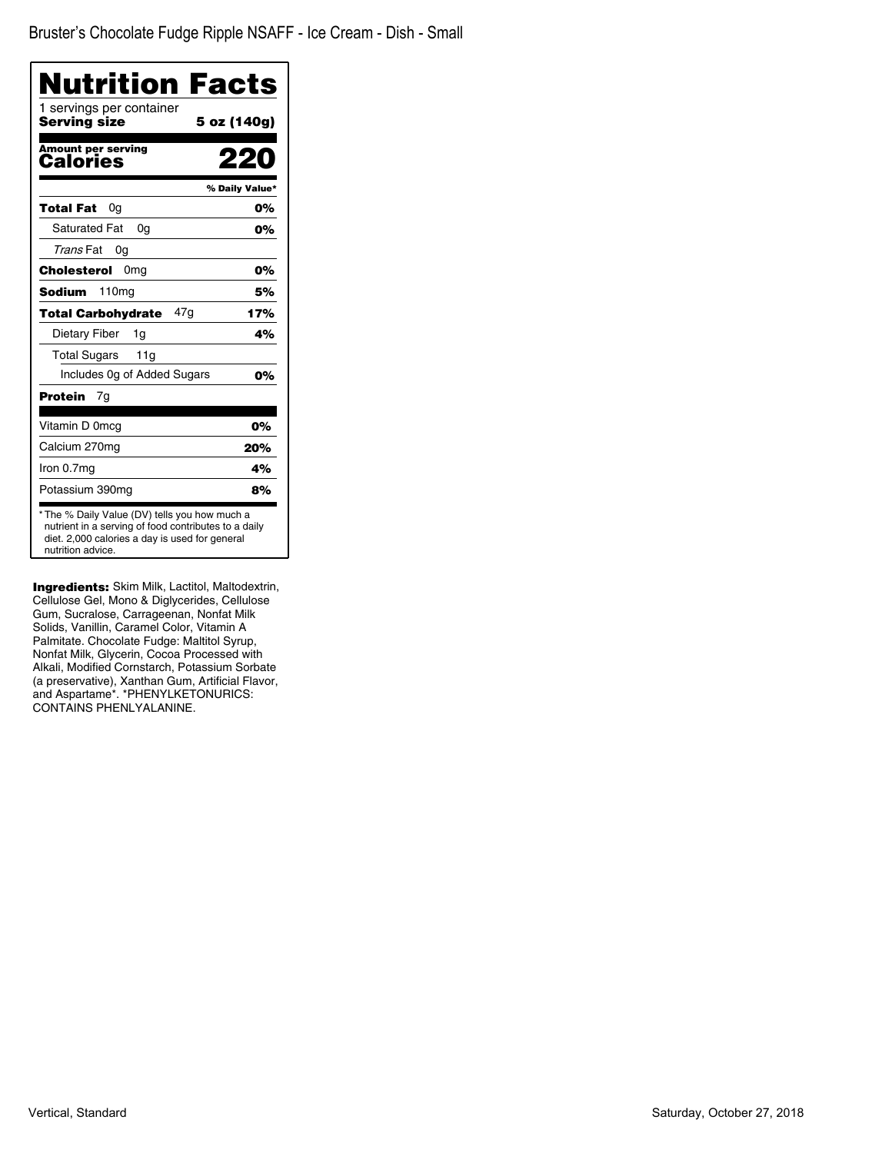| Nutrition Facts                                                                                                                                                              |                |
|------------------------------------------------------------------------------------------------------------------------------------------------------------------------------|----------------|
| 1 servings per container<br>Serving size                                                                                                                                     | 5 oz (140g)    |
| <b>Amount per serving</b><br>Calories                                                                                                                                        |                |
|                                                                                                                                                                              | % Daily Value* |
| Total Fat<br>0g                                                                                                                                                              | 0%             |
| <b>Saturated Fat</b><br>0a                                                                                                                                                   | 0%             |
| Trans Fat<br>0g                                                                                                                                                              |                |
| Cholesterol<br>0 <sub>mg</sub>                                                                                                                                               | 0%             |
| 110 <sub>mg</sub><br>Sodium                                                                                                                                                  | 5%             |
| 47g<br><b>Total Carbohydrate</b>                                                                                                                                             | 17%            |
| Dietary Fiber<br>1g                                                                                                                                                          | 4%             |
| <b>Total Sugars</b><br>11g                                                                                                                                                   |                |
| Includes 0g of Added Sugars                                                                                                                                                  | 0%             |
| Protein<br>7g                                                                                                                                                                |                |
| Vitamin D 0mcg                                                                                                                                                               | 0%             |
| Calcium 270mg                                                                                                                                                                | 20%            |
| Iron 0.7mg                                                                                                                                                                   | 4%             |
| Potassium 390mg                                                                                                                                                              | 8%             |
| * The % Daily Value (DV) tells you how much a<br>nutrient in a serving of food contributes to a daily<br>diet. 2,000 calories a day is used for general<br>nutrition advice. |                |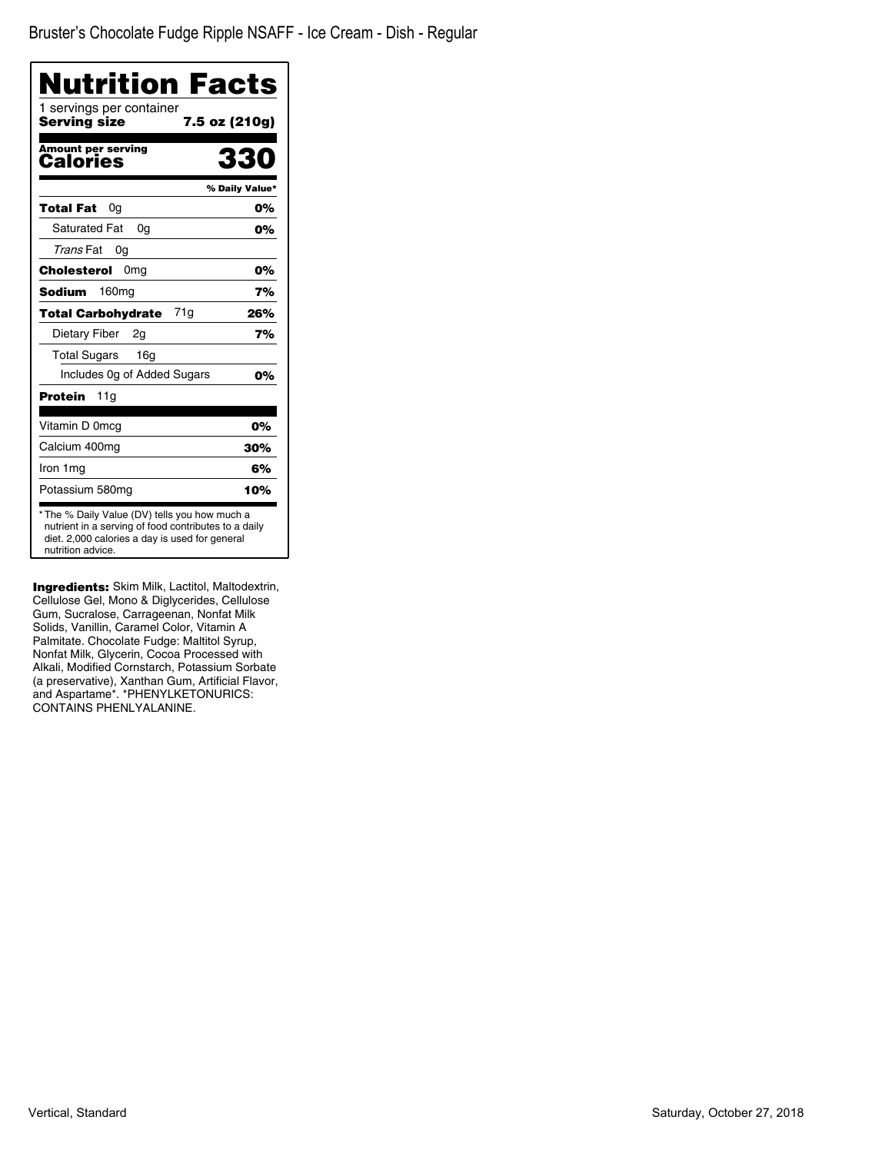| 1 servings per container<br>Serving size |                |
|------------------------------------------|----------------|
|                                          | 7.5 oz (210g)  |
| <b>Amount per serving</b><br>Calories    | 330            |
|                                          | % Daily Value* |
| Total Fat<br>0g                          | 0%             |
| <b>Saturated Fat</b><br>0g               | 0%             |
| Trans Fat<br>0g                          |                |
| Cholesterol<br>0 <sub>mg</sub>           | 0%             |
| 160 <sub>mg</sub><br>Sodium              | 7%             |
| 71g<br><b>Total Carbohydrate</b>         | 26%            |
| Dietary Fiber<br>2q                      | 7%             |
| <b>Total Sugars</b><br>16g               |                |
| Includes Og of Added Sugars              | 0%             |
| Protein<br>11a                           |                |
| Vitamin D 0mcg                           | 0%             |
| Calcium 400mg                            | 30%            |
| Iron 1mg                                 | 6%             |
| Potassium 580mg                          | 10%            |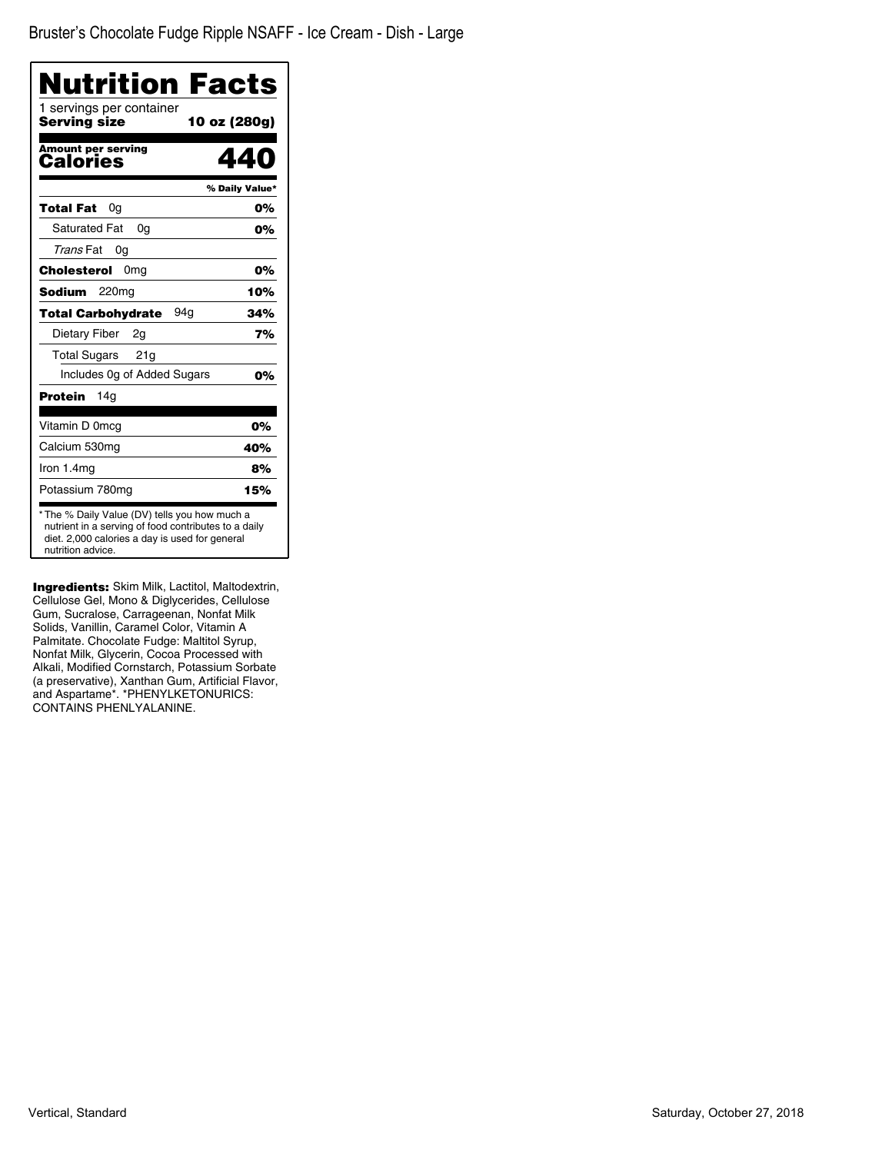| Nutrition Facts                                                                                                                                                              |                |
|------------------------------------------------------------------------------------------------------------------------------------------------------------------------------|----------------|
| 1 servings per container<br>Serving size<br>10 oz (280g)                                                                                                                     |                |
| <b>Amount per serving</b><br><b>Calories</b>                                                                                                                                 | 440            |
|                                                                                                                                                                              | % Daily Value* |
| Total Fat<br>0a                                                                                                                                                              | 0%             |
| <b>Saturated Fat</b><br>0a                                                                                                                                                   | 0%             |
| Trans Fat<br>0g                                                                                                                                                              |                |
| <b>Cholesterol</b><br>0 <sub>mg</sub>                                                                                                                                        | 0%             |
| 220mg<br>Sodium                                                                                                                                                              | 10%            |
| 94a<br><b>Total Carbohydrate</b>                                                                                                                                             | 34%            |
| Dietary Fiber<br>2g                                                                                                                                                          | 7%             |
| <b>Total Sugars</b><br>21g                                                                                                                                                   |                |
| Includes 0g of Added Sugars                                                                                                                                                  | 0%             |
| Protein<br>14a                                                                                                                                                               |                |
| Vitamin D 0mcg                                                                                                                                                               | 0%             |
| Calcium 530mg                                                                                                                                                                | 40%            |
| Iron 1.4mg                                                                                                                                                                   | 8%             |
| Potassium 780mg                                                                                                                                                              | 15%            |
| * The % Daily Value (DV) tells you how much a<br>nutrient in a serving of food contributes to a daily<br>diet. 2,000 calories a day is used for general<br>nutrition advice. |                |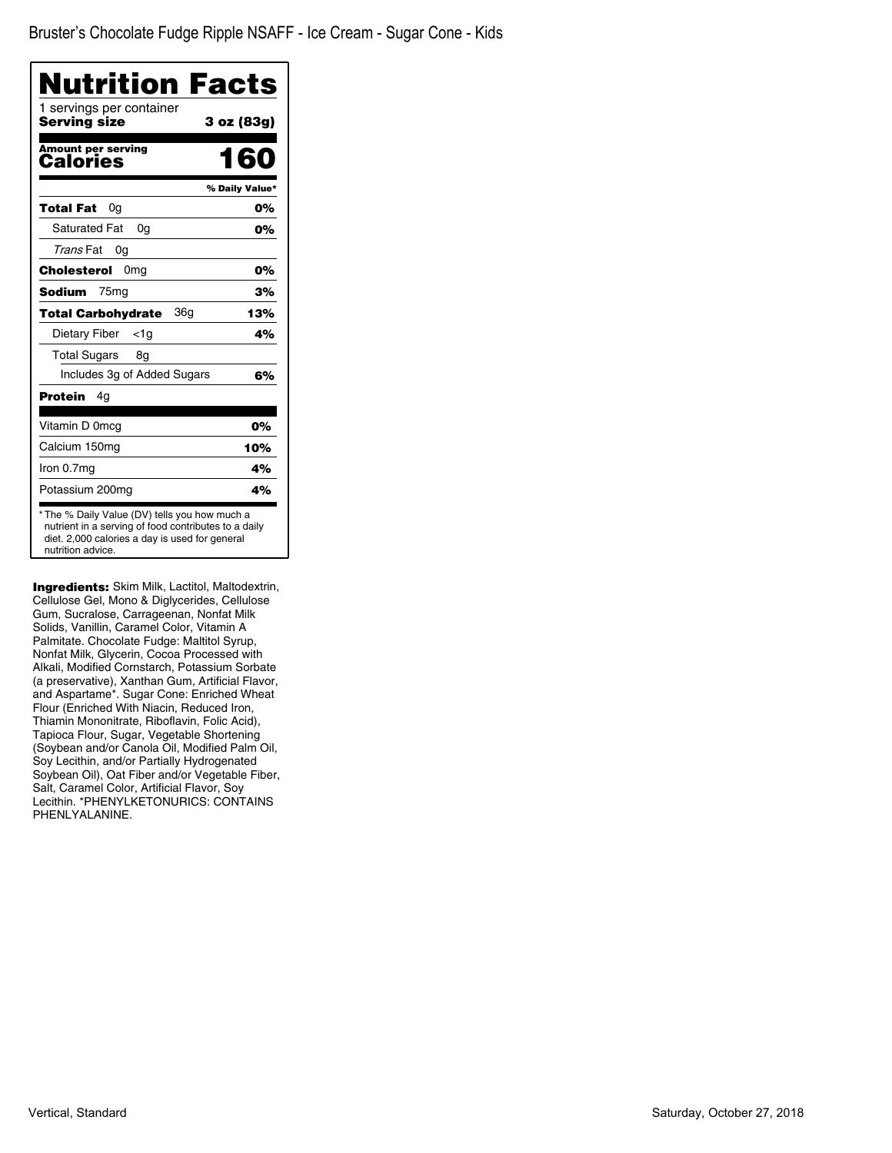| Nutrition Facts                          |                |
|------------------------------------------|----------------|
| 1 servings per container<br>Serving size | 3 oz (83g)     |
| <b>Amount per serving</b><br>Calories    | 160            |
|                                          | % Daily Value* |
| Total Fat<br>0g                          | 0%             |
| <b>Saturated Fat</b><br>0a               | 0%             |
| Trans Fat<br>0g                          |                |
| 0 <sub>mg</sub><br>Cholesterol           | 0%             |
| <b>Sodium</b><br>75 <sub>mg</sub>        | 3%             |
| 36g<br><b>Total Carbohydrate</b>         | 13%            |
| Dietary Fiber<br><1g                     | 4%             |
| <b>Total Sugars</b><br>8g                |                |
| Includes 3g of Added Sugars              | 6%             |
| Protein<br>4g                            |                |
| Vitamin D 0mcg                           | 0%             |
| Calcium 150mg                            | 10%            |
| Iron 0.7mg                               | 4%             |
| Potassium 200mg                          | 4%             |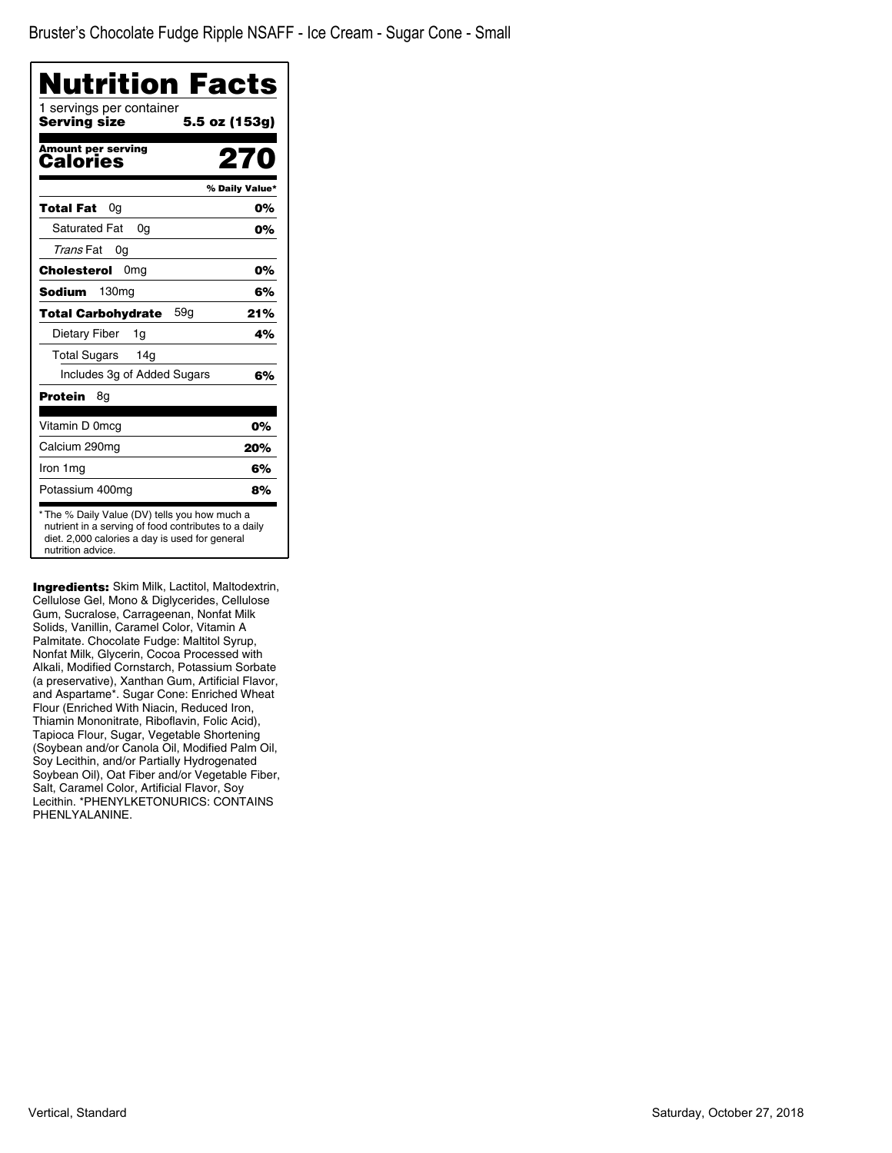| <b>Nutrition Facts</b>                   |                |
|------------------------------------------|----------------|
| 1 servings per container<br>Serving size | 5.5 oz (153g)  |
| <b>Amount per serving</b><br>Calories    | 270            |
|                                          | % Daily Value* |
| Total Fat<br>0g                          | 0%             |
| <b>Saturated Fat</b><br>0a               | 0%             |
| Trans Fat<br>0g                          |                |
| Cholesterol<br>0 <sub>mg</sub>           | 0%             |
| Sodium<br>130 <sub>mq</sub>              | 6%             |
| 59a<br><b>Total Carbohydrate</b>         | 21%            |
| Dietary Fiber<br>1g                      | 4%             |
| <b>Total Sugars</b><br>14 <sub>g</sub>   |                |
| Includes 3g of Added Sugars              | 6%             |
| Protein<br>8g                            |                |
| Vitamin D 0mcg                           | 0%             |
| Calcium 290mg                            | 20%            |
| Iron 1 mg                                | 6%             |
| Potassium 400mg                          | 8%             |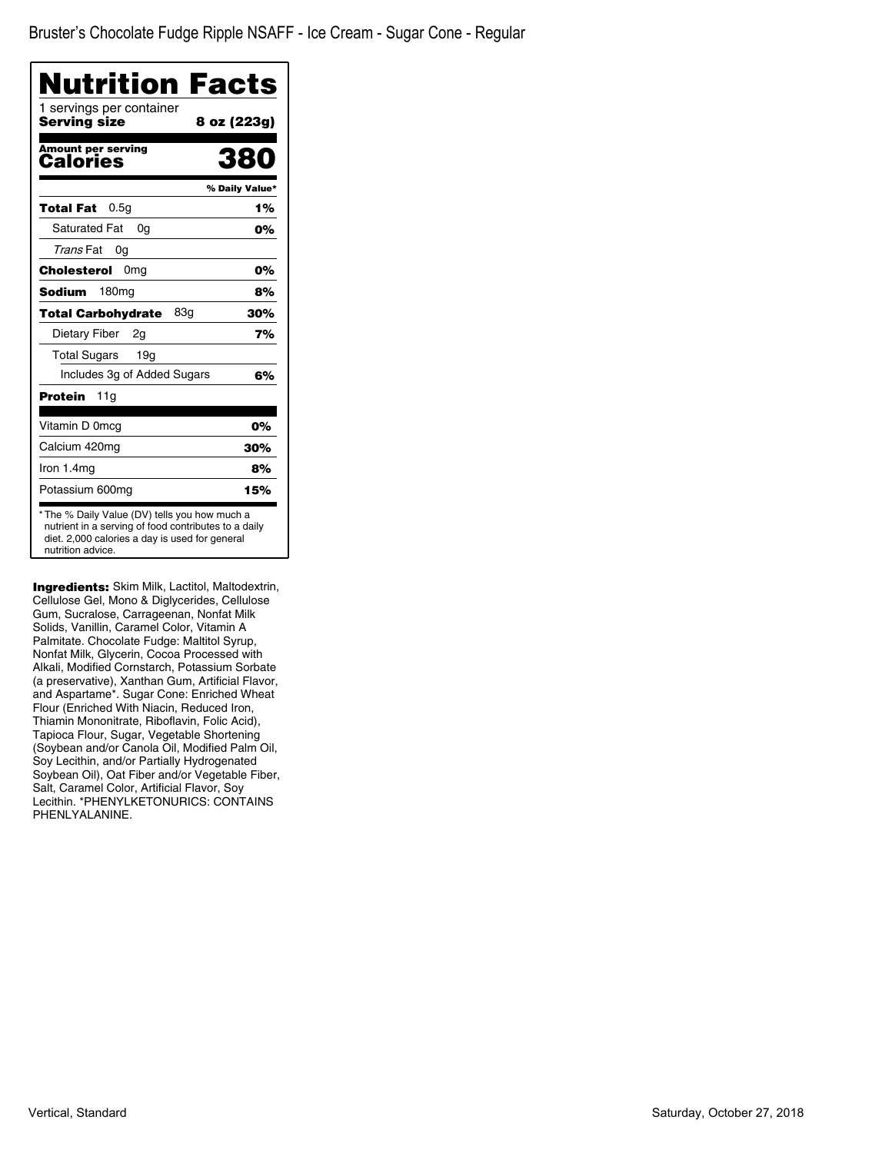| Nutrition Facts                                                                                                                                         |
|---------------------------------------------------------------------------------------------------------------------------------------------------------|
| 8 oz (223g)                                                                                                                                             |
| 380                                                                                                                                                     |
| % Daily Value*                                                                                                                                          |
| 1%                                                                                                                                                      |
| 0%                                                                                                                                                      |
|                                                                                                                                                         |
| 0%                                                                                                                                                      |
| 8%                                                                                                                                                      |
| 30%                                                                                                                                                     |
| 7%                                                                                                                                                      |
|                                                                                                                                                         |
| 6%                                                                                                                                                      |
|                                                                                                                                                         |
| 0%                                                                                                                                                      |
| 30%                                                                                                                                                     |
| 8%                                                                                                                                                      |
| 15%                                                                                                                                                     |
| * The % Daily Value (DV) tells you how much a<br>nutrient in a serving of food contributes to a daily<br>diet. 2,000 calories a day is used for general |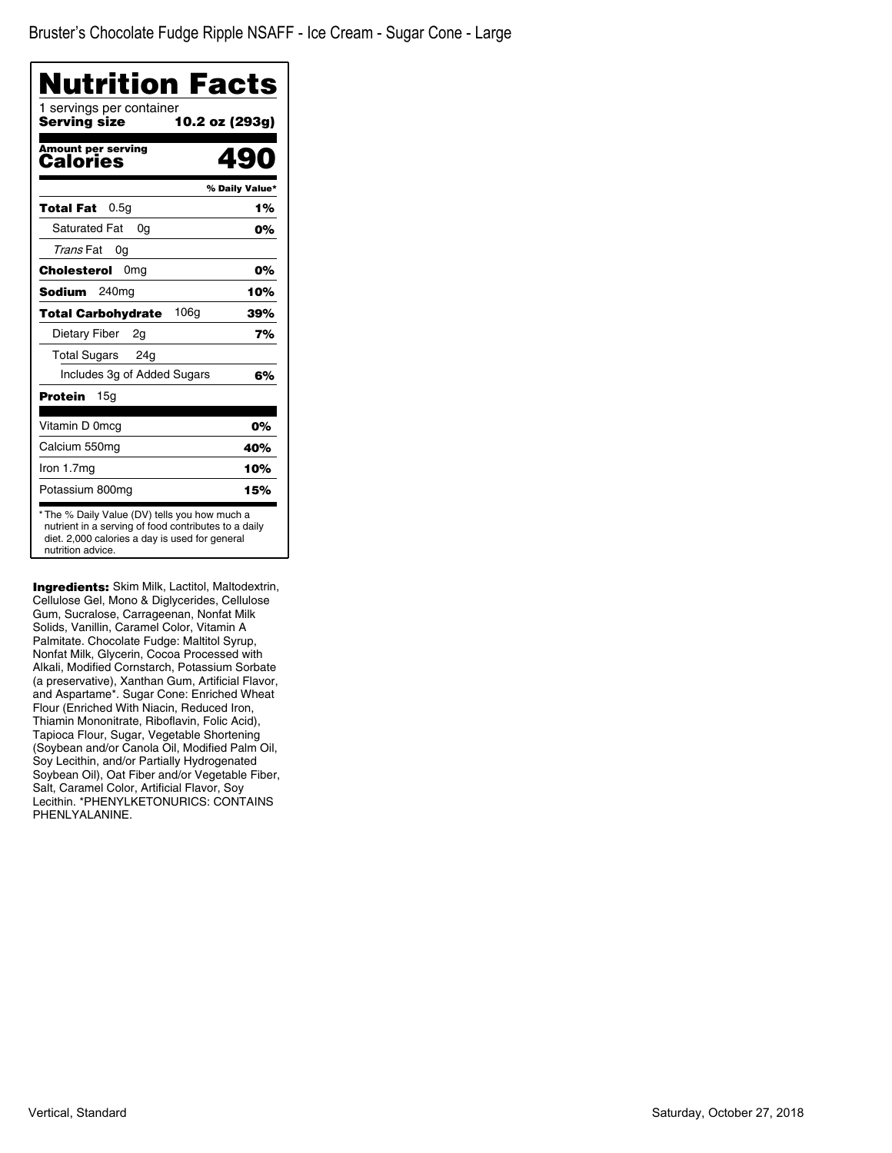| Nutrition Facts                               |                |
|-----------------------------------------------|----------------|
| 1 servings per container<br>Serving size      | 10.2 oz (293g) |
| <b>Amount per serving</b><br>Calories         | Ю)             |
|                                               | % Daily Value* |
| 0.5q<br><b>Total Fat</b>                      | 1%             |
| <b>Saturated Fat</b><br>0a                    | 0%             |
| Trans Fat<br>0a                               |                |
| 0 <sub>mg</sub><br>Cholesterol                | 0%             |
| <b>Sodium</b><br>240 <sub>mg</sub>            | 10%            |
| 106 <sub>g</sub><br><b>Total Carbohydrate</b> | 39%            |
| Dietary Fiber<br>2g                           | 7%             |
| <b>Total Sugars</b><br>24g                    |                |
| Includes 3g of Added Sugars                   | 6%             |
| Protein<br>15a                                |                |
| Vitamin D 0mcg                                | 0%             |
| Calcium 550mg                                 | 40%            |
| Iron 1.7mg                                    | 10%            |
| Potassium 800mg                               | 15%            |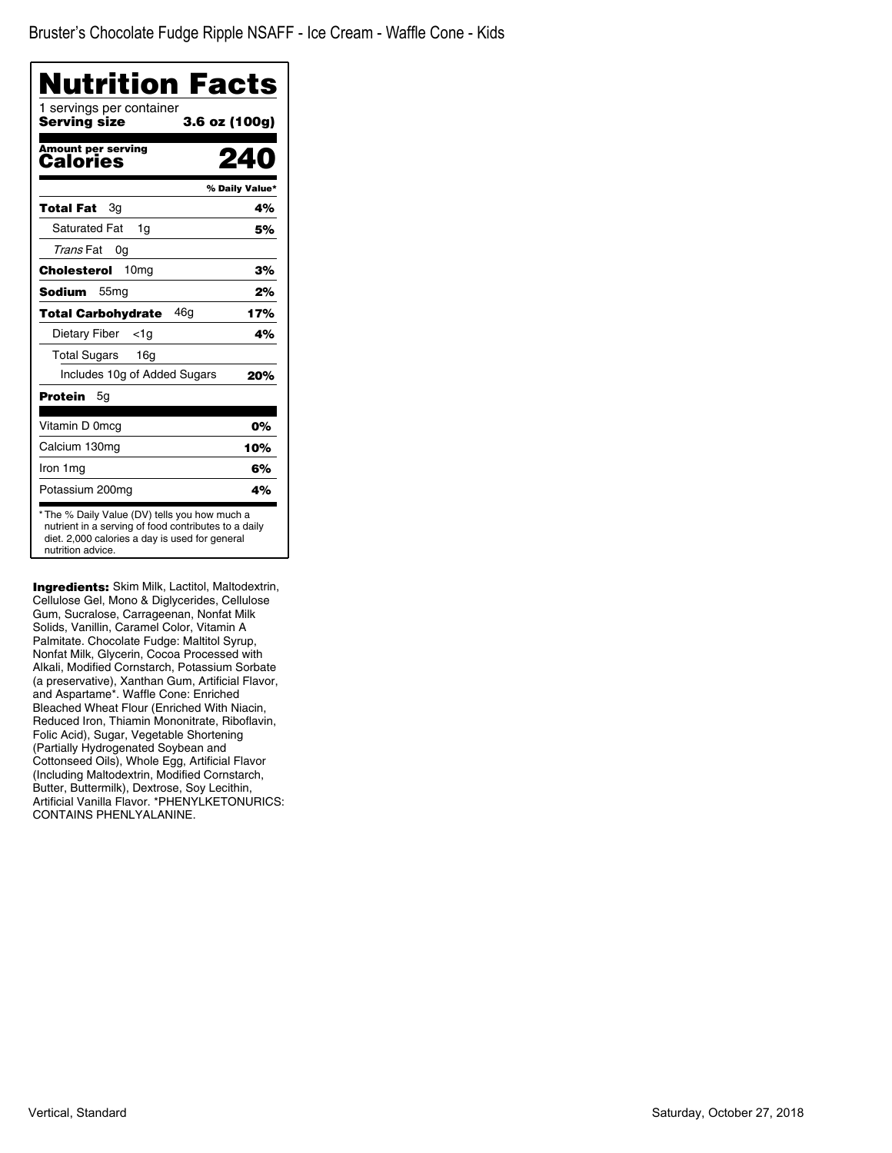| Nutrition Facts<br>1 servings per container |                |
|---------------------------------------------|----------------|
| Serving size                                | 3.6 oz (100g)  |
| <b>Amount per serving</b><br>Calories       |                |
|                                             | % Daily Value* |
| Total Fat<br>Зq                             | 4%             |
| <b>Saturated Fat</b><br>1g                  | 5%             |
| Trans Fat<br>0g                             |                |
| 10 <sub>mg</sub><br>Cholesterol             | 3%             |
| <b>Sodium</b><br>55 <sub>mg</sub>           | 2%             |
| 46g<br><b>Total Carbohydrate</b>            | 17%            |
| Dietary Fiber<br><1a                        | 4%             |
| <b>Total Sugars</b><br>16g                  |                |
| Includes 10g of Added Sugars                | 20%            |
| Protein<br>5g                               |                |
| Vitamin D 0mcg                              | 0%             |
| Calcium 130mg                               | 10%            |
| Iron 1 mg                                   | 6%             |
| Potassium 200mg                             | 4%             |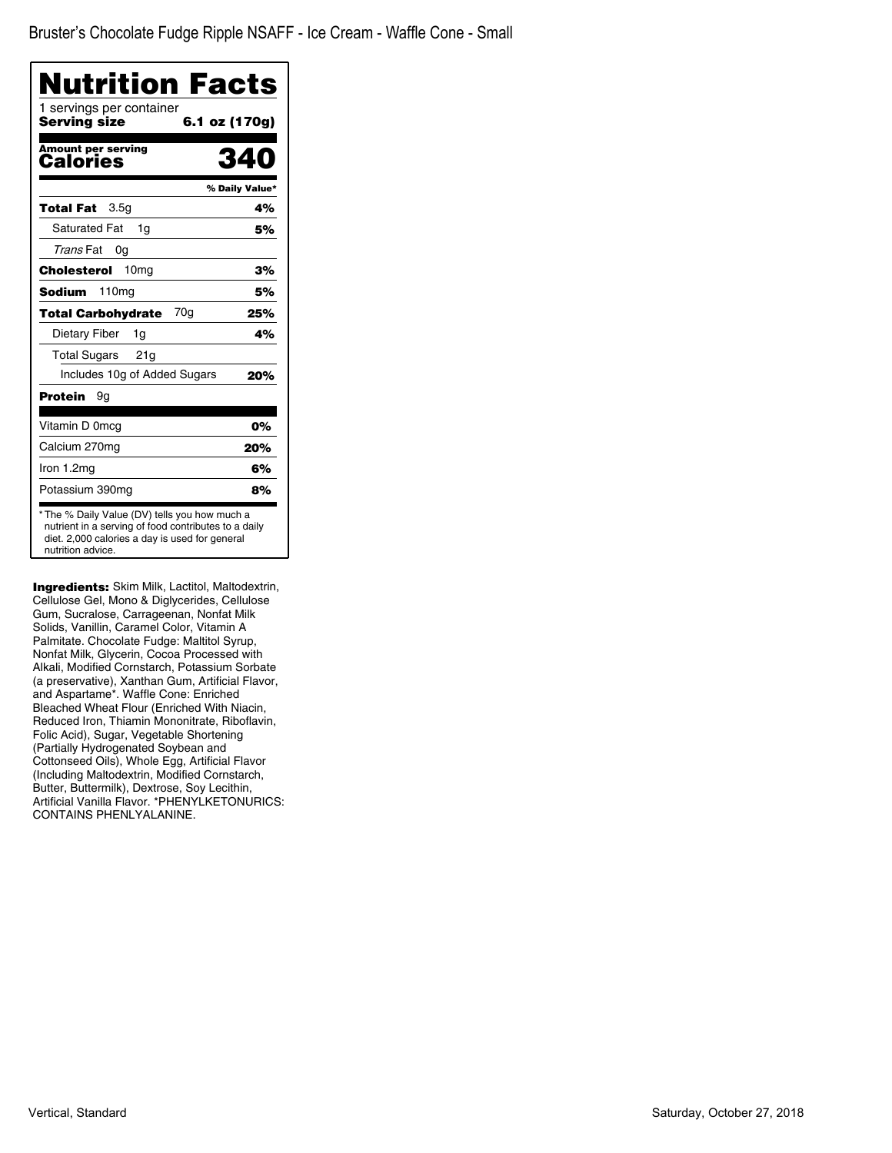| Nutrition Facts                          |                |
|------------------------------------------|----------------|
| 1 servings per container<br>Serving size | 6.1 oz (170g)  |
| Amount per serving<br>Calories           | 27             |
|                                          | % Daily Value* |
| 3.5 <sub>q</sub><br>Total Fat            | 4%             |
| <b>Saturated Fat</b><br>1q               | 5%             |
| Trans Fat<br>0g                          |                |
| 10 <sub>mg</sub><br>Cholesterol          | 3%             |
| <b>Sodium</b><br>110 <sub>mg</sub>       | 5%             |
| 70g<br><b>Total Carbohydrate</b>         | 25%            |
| Dietary Fiber<br>1g                      | 4%             |
| <b>Total Sugars</b><br>21 <sub>g</sub>   |                |
| Includes 10g of Added Sugars             | 20%            |
| Protein<br>9g                            |                |
| Vitamin D 0mcg                           | 0%             |
| Calcium 270mg                            | 20%            |
| Iron 1.2mg                               | 6%             |
| Potassium 390mg                          | 8%             |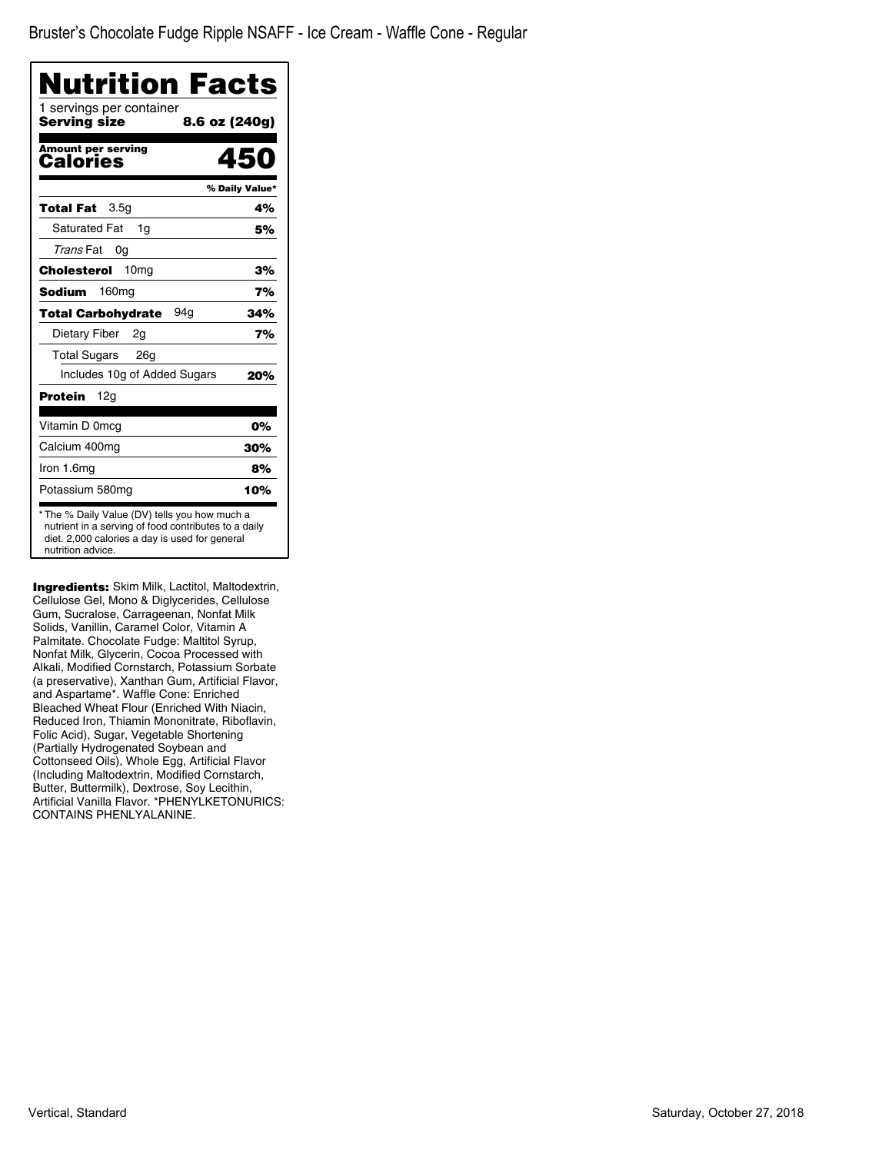| Nutrition Facts<br>1 servings per container |                |
|---------------------------------------------|----------------|
| Serving size                                | 8.6 oz (240g)  |
| Amount per serving<br>Calories              | 450            |
|                                             | % Daily Value* |
| 3.5 <sub>q</sub><br>Total Fat               | 4%             |
| <b>Saturated Fat</b><br>1q                  | 5%             |
| Trans Fat<br>0g                             |                |
| 10 <sub>mq</sub><br>Cholesterol             | 3%             |
| <b>Sodium</b><br>160mg                      | 7%             |
| 94a<br>Total Carbohydrate                   | 34%            |
| Dietary Fiber<br>2g                         | 7%             |
| <b>Total Sugars</b><br>26 <sub>g</sub>      |                |
| Includes 10g of Added Sugars                | 20%            |
| 12g<br>Protein                              |                |
| Vitamin D 0mcg                              | 0%             |
| Calcium 400mg                               | 30%            |
| Iron 1.6mg                                  | 8%             |
| Potassium 580mg                             | 10%            |